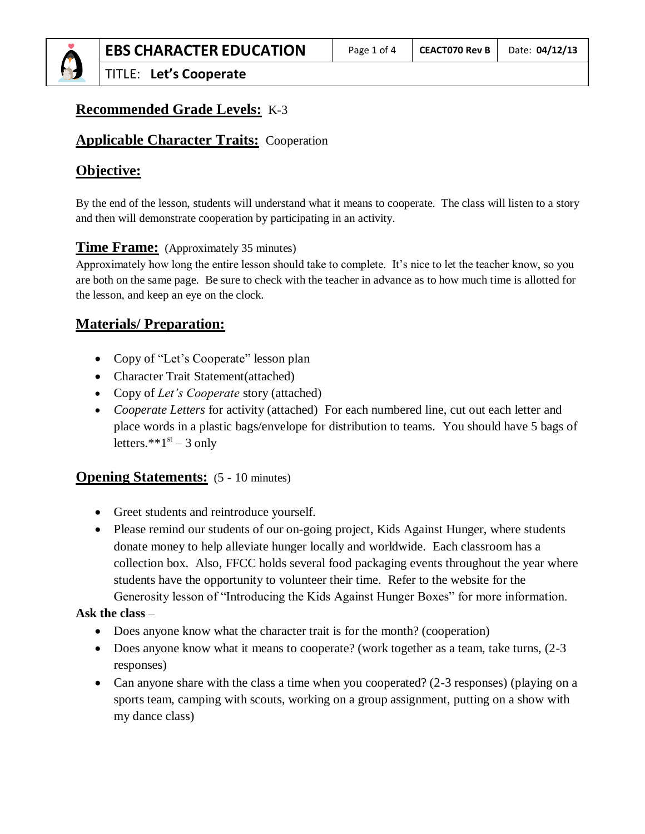# **Recommended Grade Levels:** K-3

# **Applicable Character Traits:** Cooperation

# **Objective:**

By the end of the lesson, students will understand what it means to cooperate. The class will listen to a story and then will demonstrate cooperation by participating in an activity.

# **Time Frame:** (Approximately 35 minutes)

Approximately how long the entire lesson should take to complete. It's nice to let the teacher know, so you are both on the same page. Be sure to check with the teacher in advance as to how much time is allotted for the lesson, and keep an eye on the clock.

# **Materials/ Preparation:**

- Copy of "Let's Cooperate" lesson plan
- Character Trait Statement(attached)
- Copy of *Let's Cooperate* story (attached)
- *Cooperate Letters* for activity (attached) For each numbered line, cut out each letter and place words in a plastic bags/envelope for distribution to teams. You should have 5 bags of letters. $*$ <sup>\*</sup> $+1$ <sup>st</sup> – 3 only

# **Opening Statements:**  $(5 - 10 \text{ minutes})$

- Greet students and reintroduce yourself.
- Please remind our students of our on-going project, Kids Against Hunger, where students donate money to help alleviate hunger locally and worldwide. Each classroom has a collection box. Also, FFCC holds several food packaging events throughout the year where students have the opportunity to volunteer their time. Refer to the website for the Generosity lesson of "Introducing the Kids Against Hunger Boxes" for more information.

#### **Ask the class** –

- Does anyone know what the character trait is for the month? (cooperation)
- Does anyone know what it means to cooperate? (work together as a team, take turns,  $(2-3)$ responses)
- Can anyone share with the class a time when you cooperated? (2-3 responses) (playing on a sports team, camping with scouts, working on a group assignment, putting on a show with my dance class)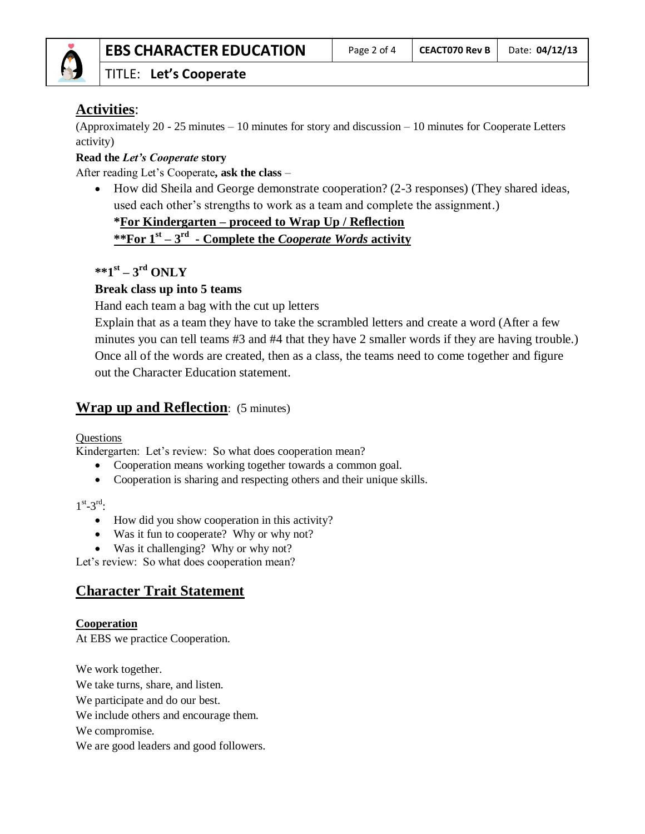

### TITLE: **Let's Cooperate**

# **Activities**:

(Approximately 20 - 25 minutes – 10 minutes for story and discussion – 10 minutes for Cooperate Letters activity)

#### **Read the** *Let's Cooperate* **story**

After reading Let's Cooperate**, ask the class** –

• How did Sheila and George demonstrate cooperation? (2-3 responses) (They shared ideas, used each other's strengths to work as a team and complete the assignment.)

#### **\*For Kindergarten – proceed to Wrap Up / Reflection**

**\*\*For 1st – 3 rd - Complete the** *Cooperate Words* **activity**

# **\*\*1st – 3 rd ONLY**

#### **Break class up into 5 teams**

Hand each team a bag with the cut up letters

Explain that as a team they have to take the scrambled letters and create a word (After a few minutes you can tell teams #3 and #4 that they have 2 smaller words if they are having trouble.) Once all of the words are created, then as a class, the teams need to come together and figure out the Character Education statement.

# **Wrap up and Reflection**: (5 minutes)

Questions

Kindergarten: Let's review: So what does cooperation mean?

- Cooperation means working together towards a common goal.
- Cooperation is sharing and respecting others and their unique skills.

#### $1^{\text{st}}$ -3<sup>rd</sup>:

- How did you show cooperation in this activity?
- Was it fun to cooperate? Why or why not?
- Was it challenging? Why or why not?

Let's review: So what does cooperation mean?

# **Character Trait Statement**

#### **Cooperation**

At EBS we practice Cooperation.

We work together.

We take turns, share, and listen.

We participate and do our best.

We include others and encourage them.

We compromise.

We are good leaders and good followers.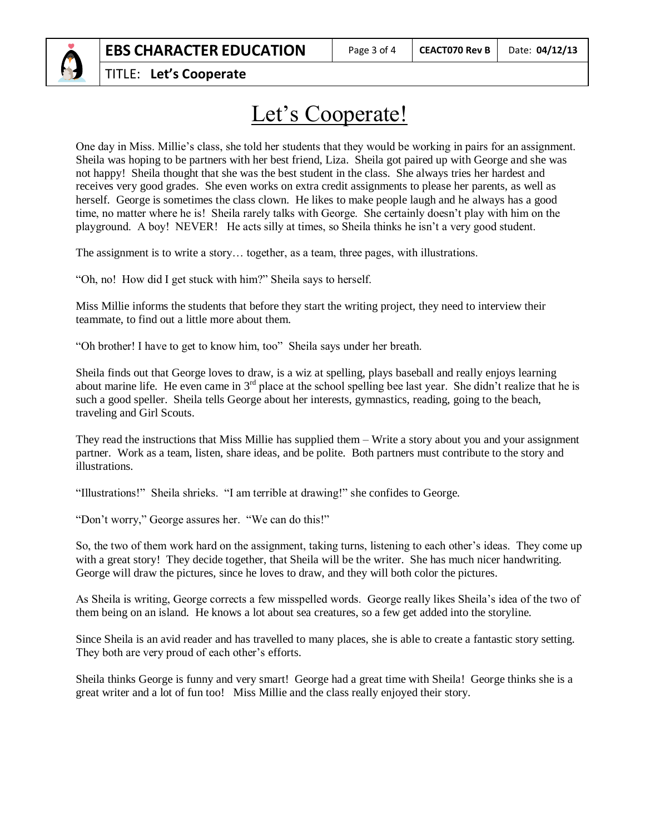

# Let's Cooperate!

One day in Miss. Millie's class, she told her students that they would be working in pairs for an assignment. Sheila was hoping to be partners with her best friend, Liza. Sheila got paired up with George and she was not happy! Sheila thought that she was the best student in the class. She always tries her hardest and receives very good grades. She even works on extra credit assignments to please her parents, as well as herself. George is sometimes the class clown. He likes to make people laugh and he always has a good time, no matter where he is! Sheila rarely talks with George. She certainly doesn't play with him on the playground. A boy! NEVER! He acts silly at times, so Sheila thinks he isn't a very good student.

The assignment is to write a story… together, as a team, three pages, with illustrations.

"Oh, no! How did I get stuck with him?" Sheila says to herself.

Miss Millie informs the students that before they start the writing project, they need to interview their teammate, to find out a little more about them.

"Oh brother! I have to get to know him, too" Sheila says under her breath.

Sheila finds out that George loves to draw, is a wiz at spelling, plays baseball and really enjoys learning about marine life. He even came in  $3<sup>rd</sup>$  place at the school spelling bee last year. She didn't realize that he is such a good speller. Sheila tells George about her interests, gymnastics, reading, going to the beach, traveling and Girl Scouts.

They read the instructions that Miss Millie has supplied them – Write a story about you and your assignment partner. Work as a team, listen, share ideas, and be polite. Both partners must contribute to the story and illustrations.

"Illustrations!" Sheila shrieks. "I am terrible at drawing!" she confides to George.

"Don't worry," George assures her. "We can do this!"

So, the two of them work hard on the assignment, taking turns, listening to each other's ideas. They come up with a great story! They decide together, that Sheila will be the writer. She has much nicer handwriting. George will draw the pictures, since he loves to draw, and they will both color the pictures.

As Sheila is writing, George corrects a few misspelled words. George really likes Sheila's idea of the two of them being on an island. He knows a lot about sea creatures, so a few get added into the storyline.

Since Sheila is an avid reader and has travelled to many places, she is able to create a fantastic story setting. They both are very proud of each other's efforts.

Sheila thinks George is funny and very smart! George had a great time with Sheila! George thinks she is a great writer and a lot of fun too! Miss Millie and the class really enjoyed their story.